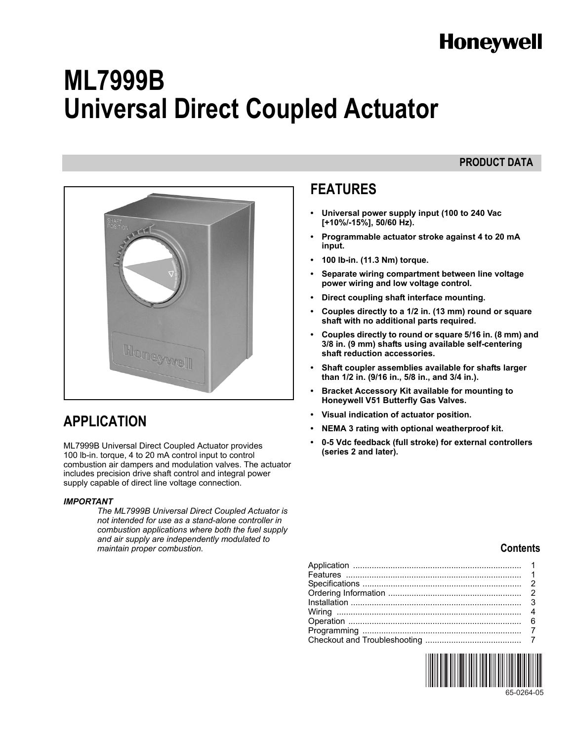# **Honeywell**

# **ML7999B Universal Direct Coupled Actuator**

## **PRODUCT DATA**



# <span id="page-0-0"></span>**APPLICATION**

ML7999B Universal Direct Coupled Actuator provides 100 lb-in. torque, 4 to 20 mA control input to control combustion air dampers and modulation valves. The actuator includes precision drive shaft control and integral power supply capable of direct line voltage connection.

## *IMPORTANT*

*The ML7999B Universal Direct Coupled Actuator is not intended for use as a stand-alone controller in combustion applications where both the fuel supply and air supply are independently modulated to maintain proper combustion.*

## <span id="page-0-1"></span>**FEATURES**

- **Universal power supply input (100 to 240 Vac [+10%/-15%], 50/60 Hz).**
- **Programmable actuator stroke against 4 to 20 mA input.**
- **100 lb-in. (11.3 Nm) torque.**
- **Separate wiring compartment between line voltage power wiring and low voltage control.**
- **Direct coupling shaft interface mounting.**
- **Couples directly to a 1/2 in. (13 mm) round or square shaft with no additional parts required.**
- **Couples directly to round or square 5/16 in. (8 mm) and 3/8 in. (9 mm) shafts using available self-centering shaft reduction accessories.**
- **Shaft coupler assemblies available for shafts larger than 1/2 in. (9/16 in., 5/8 in., and 3/4 in.).**
- **Bracket Accessory Kit available for mounting to Honeywell V51 Butterfly Gas Valves.**
- **Visual indication of actuator position.**
- **NEMA 3 rating with optional weatherproof kit.**
- **0-5 Vdc feedback (full stroke) for external controllers (series 2 and later).**

## **Contents**



65-0264-05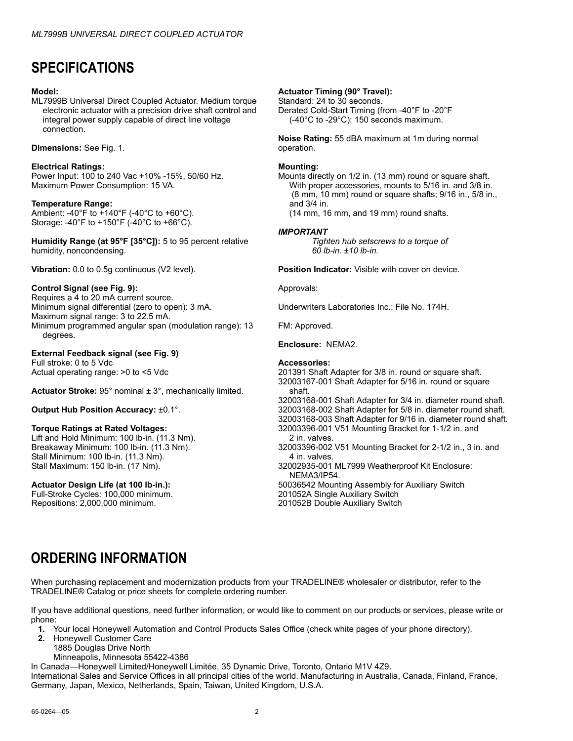# <span id="page-1-0"></span>**SPECIFICATIONS**

#### **Model:**

ML7999B Universal Direct Coupled Actuator. Medium torque electronic actuator with a precision drive shaft control and integral power supply capable of direct line voltage connection.

#### **Dimensions:** See [Fig. 1.](#page-2-1)

#### **Electrical Ratings:**

Power Input: 100 to 240 Vac +10% -15%, 50/60 Hz. Maximum Power Consumption: 15 VA.

#### **Temperature Range:**

Ambient: -40°F to +140°F (-40°C to +60°C). Storage: -40°F to +150°F (-40°C to +66°C).

**Humidity Range (at 95°F [35°C]):** 5 to 95 percent relative humidity, noncondensing.

**Vibration:** 0.0 to 0.5g continuous (V2 level).

### **Control Signal (see [Fig. 9](#page-6-2)):**

Requires a 4 to 20 mA current source. Minimum signal differential (zero to open): 3 mA. Maximum signal range: 3 to 22.5 mA. Minimum programmed angular span (modulation range): 13 degrees.

### **External Feedback signal (see [Fig. 9\)](#page-6-2)**

Full stroke: 0 to 5 Vdc Actual operating range: >0 to <5 Vdc

**Actuator Stroke:** 95° nominal ± 3°, mechanically limited.

#### **Output Hub Position Accuracy:** ±0.1°.

#### **Torque Ratings at Rated Voltages:**

Lift and Hold Minimum: 100 lb-in. (11.3 Nm). Breakaway Minimum: 100 lb-in. (11.3 Nm). Stall Minimum: 100 lb-in. (11.3 Nm). Stall Maximum: 150 lb-in. (17 Nm).

## **Actuator Design Life (at 100 lb-in.):**

Full-Stroke Cycles: 100,000 minimum. Repositions: 2,000,000 minimum.

### **Actuator Timing (90° Travel):**

Standard: 24 to 30 seconds. Derated Cold-Start Timing (from -40°F to -20°F (-40°C to -29°C): 150 seconds maximum.

**Noise Rating:** 55 dBA maximum at 1m during normal operation.

### **Mounting:**

Mounts directly on 1/2 in. (13 mm) round or square shaft. With proper accessories, mounts to 5/16 in. and 3/8 in. (8 mm, 10 mm) round or square shafts; 9/16 in., 5/8 in., and 3/4 in. (14 mm, 16 mm, and 19 mm) round shafts.

#### *IMPORTANT*

*Tighten hub setscrews to a torque of 60 lb-in. ±10 lb-in.*

**Position Indicator:** Visible with cover on device.

Approvals:

Underwriters Laboratories Inc.: File No. 174H.

FM: Approved.

### **Enclosure:** NEMA2.

#### **Accessories:**

201391 Shaft Adapter for 3/8 in. round or square shaft. 32003167-001 Shaft Adapter for 5/16 in. round or square shaft.

32003168-001 Shaft Adapter for 3/4 in. diameter round shaft. 32003168-002 Shaft Adapter for 5/8 in. diameter round shaft. 32003168-003 Shaft Adapter for 9/16 in. diameter round shaft. 32003396-001 V51 Mounting Bracket for 1-1/2 in. and 2 in. valves.

32003396-002 V51 Mounting Bracket for 2-1/2 in., 3 in. and 4 in. valves.

32002935-001 ML7999 Weatherproof Kit Enclosure: NEMA3/IP54.

50036542 Mounting Assembly for Auxiliary Switch 201052A Single Auxiliary Switch 201052B Double Auxiliary Switch

## **ORDERING INFORMATION**

When purchasing replacement and modernization products from your TRADELINE® wholesaler or distributor, refer to the TRADELINE® Catalog or price sheets for complete ordering number.

If you have additional questions, need further information, or would like to comment on our products or services, please write or phone:

- **1.** Your local Honeywell Automation and Control Products Sales Office (check white pages of your phone directory).
- **2.** Honeywell Customer Care
	- 1885 Douglas Drive North
	- Minneapolis, Minnesota 55422-4386

In Canada—Honeywell Limited/Honeywell Limitée, 35 Dynamic Drive, Toronto, Ontario M1V 4Z9.

International Sales and Service Offices in all principal cities of the world. Manufacturing in Australia, Canada, Finland, France, Germany, Japan, Mexico, Netherlands, Spain, Taiwan, United Kingdom, U.S.A.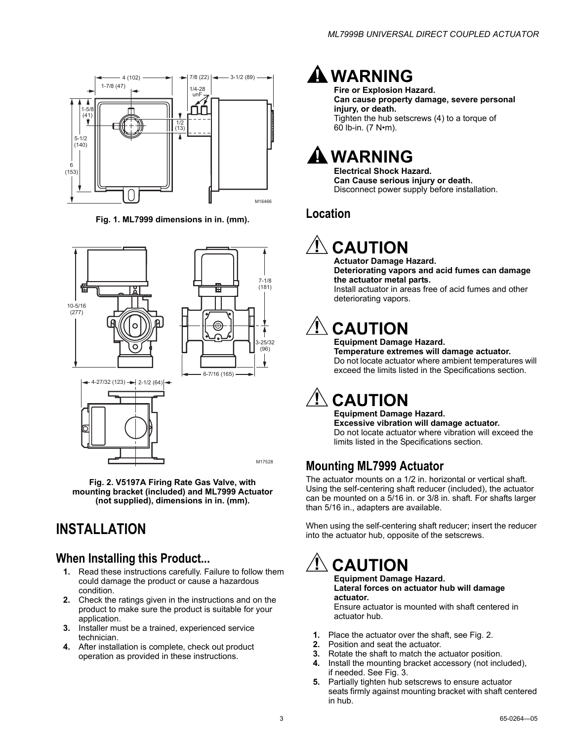

**Fig. 1. ML7999 dimensions in in. (mm).**

<span id="page-2-1"></span>

<span id="page-2-2"></span>**Fig. 2. V5197A Firing Rate Gas Valve, with mounting bracket (included) and ML7999 Actuator (not supplied), dimensions in in. (mm).**

## <span id="page-2-0"></span>**INSTALLATION**

## **When Installing this Product...**

- **1.** Read these instructions carefully. Failure to follow them could damage the product or cause a hazardous condition.
- **2.** Check the ratings given in the instructions and on the product to make sure the product is suitable for your application.
- **3.** Installer must be a trained, experienced service technician.
- **4.** After installation is complete, check out product operation as provided in these instructions.

# **WARNING**

**Fire or Explosion Hazard. Can cause property damage, severe personal injury, or death.** Tighten the hub setscrews (4) to a torque of 60 lb-in. (7 N•m).

# **WARNING**

**Electrical Shock Hazard. Can Cause serious injury or death.**  Disconnect power supply before installation.

## **Location**

7-1/8 (181)

3-25/32 (96)

↟

M17528

# **CAUTION**

**Actuator Damage Hazard. Deteriorating vapors and acid fumes can damage the actuator metal parts.** Install actuator in areas free of acid fumes and other deteriorating vapors.

# **CAUTION**

## **Equipment Damage Hazard.**

**Temperature extremes will damage actuator.** Do not locate actuator where ambient temperatures will exceed the limits listed in the Specifications section.

# $^\prime\hspace{-1.5pt}$  CAUTION

#### **Equipment Damage Hazard. Excessive vibration will damage actuator.** Do not locate actuator where vibration will exceed the limits listed in the Specifications section.

## **Mounting ML7999 Actuator**

The actuator mounts on a 1/2 in. horizontal or vertical shaft. Using the self-centering shaft reducer (included), the actuator can be mounted on a 5/16 in. or 3/8 in. shaft. For shafts larger than 5/16 in., adapters are available.

When using the self-centering shaft reducer; insert the reducer into the actuator hub, opposite of the setscrews.

# $\mathop{?}\nolimits\backslash$  CAUTION

**Equipment Damage Hazard. Lateral forces on actuator hub will damage actuator.** Ensure actuator is mounted with shaft centered in

actuator hub.

- **1.** Place the actuator over the shaft, see [Fig. 2.](#page-2-2)
- **2.** Position and seat the actuator.
- **3.** Rotate the shaft to match the actuator position.<br>**4.** Install the mounting bracket accessory (not incl
- **4.** Install the mounting bracket accessory (not included), if needed. See [Fig. 3.](#page-3-1)
- **5.** Partially tighten hub setscrews to ensure actuator seats firmly against mounting bracket with shaft centered in hub.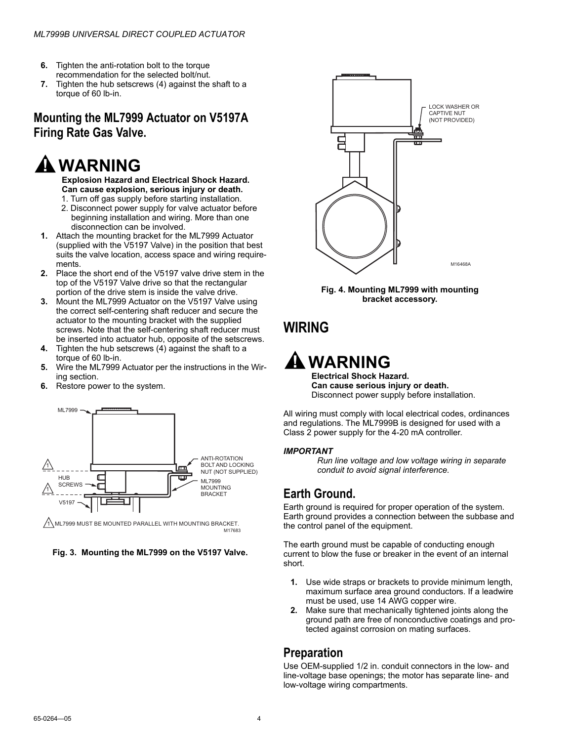- **6.** Tighten the anti-rotation bolt to the torque recommendation for the selected bolt/nut.
- **7.** Tighten the hub setscrews (4) against the shaft to a torque of 60 lb-in.

## **Mounting the ML7999 Actuator on V5197A Firing Rate Gas Valve.**

# **WARNING**

**Explosion Hazard and Electrical Shock Hazard. Can cause explosion, serious injury or death.**

- 1. Turn off gas supply before starting installation.
- 2. Disconnect power supply for valve actuator before beginning installation and wiring. More than one disconnection can be involved.
- **1.** Attach the mounting bracket for the ML7999 Actuator (supplied with the V5197 Valve) in the position that best suits the valve location, access space and wiring requirements.
- **2.** Place the short end of the V5197 valve drive stem in the top of the V5197 Valve drive so that the rectangular portion of the drive stem is inside the valve drive.
- **3.** Mount the ML7999 Actuator on the V5197 Valve using the correct self-centering shaft reducer and secure the actuator to the mounting bracket with the supplied screws. Note that the self-centering shaft reducer must be inserted into actuator hub, opposite of the setscrews.
- **4.** Tighten the hub setscrews (4) against the shaft to a torque of 60 lb-in.
- **5.** Wire the ML7999 Actuator per the instructions in the Wiring section.
- **6.** Restore power to the system.



M17683 1 ML7999 MUST BE MOUNTED PARALLEL WITH MOUNTING BRACKET.

<span id="page-3-1"></span>



**Fig. 4. Mounting ML7999 with mounting bracket accessory.**

# <span id="page-3-0"></span>**WIRING**



**Can cause serious injury or death.** Disconnect power supply before installation.

All wiring must comply with local electrical codes, ordinances and regulations. The ML7999B is designed for used with a Class 2 power supply for the 4-20 mA controller.

## *IMPORTANT*

*Run line voltage and low voltage wiring in separate conduit to avoid signal interference.*

## **Earth Ground.**

Earth ground is required for proper operation of the system. Earth ground provides a connection between the subbase and the control panel of the equipment.

The earth ground must be capable of conducting enough current to blow the fuse or breaker in the event of an internal short.

- **1.** Use wide straps or brackets to provide minimum length, maximum surface area ground conductors. If a leadwire must be used, use 14 AWG copper wire.
- **2.** Make sure that mechanically tightened joints along the ground path are free of nonconductive coatings and protected against corrosion on mating surfaces.

## **Preparation**

Use OEM-supplied 1/2 in. conduit connectors in the low- and line-voltage base openings; the motor has separate line- and low-voltage wiring compartments.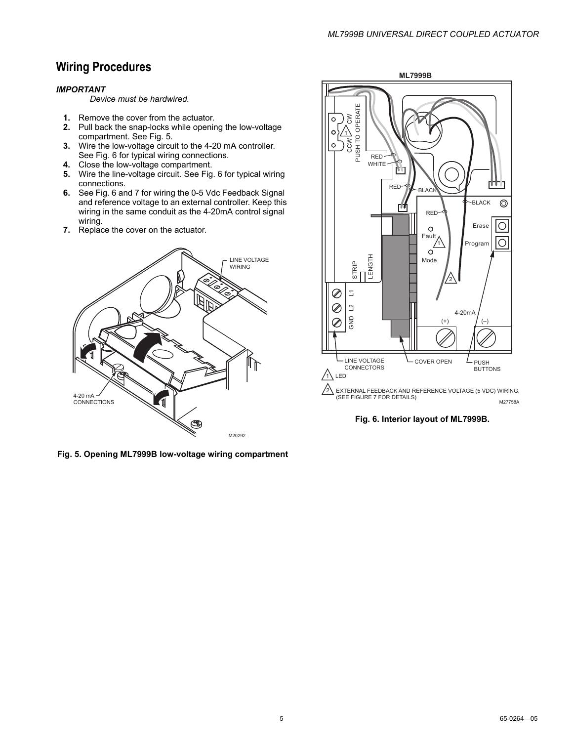## **Wiring Procedures**

## *IMPORTANT*

*Device must be hardwired.*

- **1.** Remove the cover from the actuator.
- **2.** Pull back the snap-locks while opening the low-voltage compartment. See [Fig. 5](#page-4-0).
- **3.** Wire the low-voltage circuit to the 4-20 mA controller. See Fig. 6 for typical wiring connections.
- **4.** Close the low-voltage compartment.
- **5.** Wire the line-voltage circuit. See Fig. 6 for typical wiring connections.
- **6.** See Fig. 6 and 7 for wiring the 0-5 Vdc Feedback Signal and reference voltage to an external controller. Keep this wiring in the same conduit as the 4-20mA control signal wiring.
- **7.** Replace the cover on the actuator.



<span id="page-4-0"></span>**Fig. 5. Opening ML7999B low-voltage wiring compartment**



M27758A

**Fig. 6. Interior layout of ML7999B.**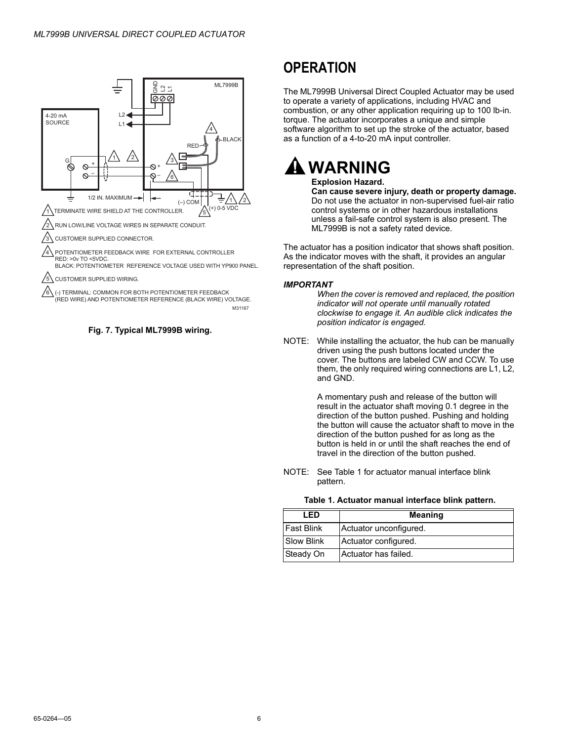

M31167

### **Fig. 7. Typical ML7999B wiring.**

## <span id="page-5-0"></span>**OPERATION**

The ML7999B Universal Direct Coupled Actuator may be used to operate a variety of applications, including HVAC and combustion, or any other application requiring up to 100 lb-in. torque. The actuator incorporates a unique and simple software algorithm to set up the stroke of the actuator, based as a function of a 4-to-20 mA input controller.



**Explosion Hazard.**

**Can cause severe injury, death or property damage.** Do not use the actuator in non-supervised fuel-air ratio control systems or in other hazardous installations unless a fail-safe control system is also present. The ML7999B is not a safety rated device.

The actuator has a position indicator that shows shaft position. As the indicator moves with the shaft, it provides an angular representation of the shaft position.

#### *IMPORTANT*

*When the cover is removed and replaced, the position indicator will not operate until manually rotated clockwise to engage it. An audible click indicates the position indicator is engaged.*

NOTE: While installing the actuator, the hub can be manually driven using the push buttons located under the cover. The buttons are labeled CW and CCW. To use them, the only required wiring connections are L1, L2, and GND.

> A momentary push and release of the button will result in the actuator shaft moving 0.1 degree in the direction of the button pushed. Pushing and holding the button will cause the actuator shaft to move in the direction of the button pushed for as long as the button is held in or until the shaft reaches the end of travel in the direction of the button pushed.

NOTE: See [Table 1](#page-5-1) for actuator manual interface blink pattern.

#### **Table 1. Actuator manual interface blink pattern.**

<span id="page-5-1"></span>

| I FD              | <b>Meaning</b>         |  |
|-------------------|------------------------|--|
| <b>Fast Blink</b> | Actuator unconfigured. |  |
| <b>Slow Blink</b> | Actuator configured.   |  |
| Steady On         | Actuator has failed.   |  |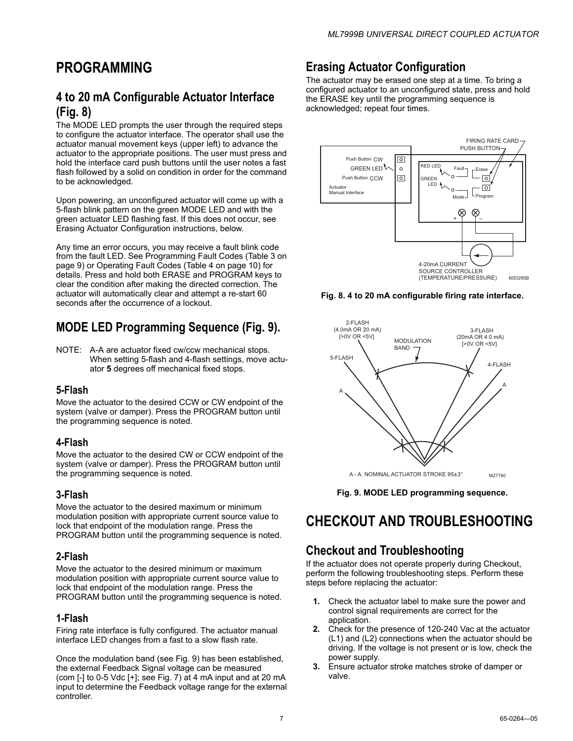## <span id="page-6-0"></span>**PROGRAMMING**

## **4 to 20 mA Configurable Actuator Interface (Fig. 8)**

The MODE LED prompts the user through the required steps to configure the actuator interface. The operator shall use the actuator manual movement keys (upper left) to advance the actuator to the appropriate positions. The user must press and hold the interface card push buttons until the user notes a fast flash followed by a solid on condition in order for the command to be acknowledged.

Upon powering, an unconfigured actuator will come up with a 5-flash blink pattern on the green MODE LED and with the green actuator LED flashing fast. If this does not occur, see Erasing Actuator Configuration instructions, below.

Any time an error occurs, you may receive a fault blink code from the fault LED. See Programming Fault Codes [\(Table 3 on](#page-8-0)  [page 9](#page-8-0)) or Operating Fault Codes [\(Table 4 on page 10\)](#page-9-0) for details. Press and hold both ERASE and PROGRAM keys to clear the condition after making the directed correction. The actuator will automatically clear and attempt a re-start 60 seconds after the occurrence of a lockout.

## **MODE LED Programming Sequence (Fig. 9).**

NOTE: A-A are actuator fixed cw/ccw mechanical stops. When setting 5-flash and 4-flash settings, move actuator **5** degrees off mechanical fixed stops.

## **5-Flash**

Move the actuator to the desired CCW or CW endpoint of the system (valve or damper). Press the PROGRAM button until the programming sequence is noted.

## **4-Flash**

Move the actuator to the desired CW or CCW endpoint of the system (valve or damper). Press the PROGRAM button until the programming sequence is noted.

## **3-Flash**

Move the actuator to the desired maximum or minimum modulation position with appropriate current source value to lock that endpoint of the modulation range. Press the PROGRAM button until the programming sequence is noted.

## **2-Flash**

Move the actuator to the desired minimum or maximum modulation position with appropriate current source value to lock that endpoint of the modulation range. Press the PROGRAM button until the programming sequence is noted.

## **1-Flash**

Firing rate interface is fully configured. The actuator manual interface LED changes from a fast to a slow flash rate.

Once the modulation band (see [Fig. 9](#page-6-2)) has been established, the external Feedback Signal voltage can be measured (com [-] to 0-5 Vdc [+]; see Fig. 7) at 4 mA input and at 20 mA input to determine the Feedback voltage range for the external controller.

## **Erasing Actuator Configuration**

The actuator may be erased one step at a time. To bring a configured actuator to an unconfigured state, press and hold the ERASE key until the programming sequence is acknowledged; repeat four times.



## **Fig. 8. 4 to 20 mA configurable firing rate interface.**



**Fig. 9. MODE LED programming sequence.**

# <span id="page-6-2"></span><span id="page-6-1"></span>**CHECKOUT AND TROUBLESHOOTING**

## **Checkout and Troubleshooting**

If the actuator does not operate properly during Checkout, perform the following troubleshooting steps. Perform these steps before replacing the actuator:

- **1.** Check the actuator label to make sure the power and control signal requirements are correct for the application.
- **2.** Check for the presence of 120-240 Vac at the actuator (L1) and (L2) connections when the actuator should be driving. If the voltage is not present or is low, check the power supply.
- **3.** Ensure actuator stroke matches stroke of damper or valve.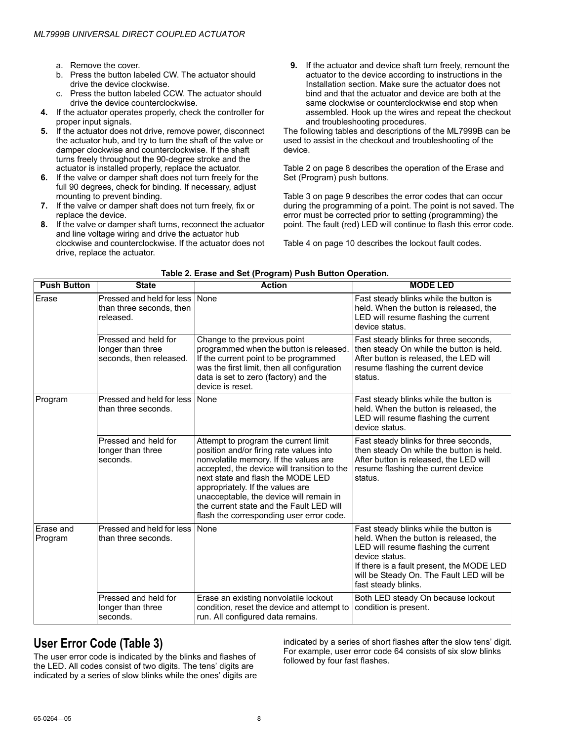- a. Remove the cover.
- b. Press the button labeled CW. The actuator should drive the device clockwise.
- c. Press the button labeled CCW. The actuator should drive the device counterclockwise.
- **4.** If the actuator operates properly, check the controller for proper input signals.
- **5.** If the actuator does not drive, remove power, disconnect the actuator hub, and try to turn the shaft of the valve or damper clockwise and counterclockwise. If the shaft turns freely throughout the 90-degree stroke and the actuator is installed properly, replace the actuator.
- **6.** If the valve or damper shaft does not turn freely for the full 90 degrees, check for binding. If necessary, adjust mounting to prevent binding.
- **7.** If the valve or damper shaft does not turn freely, fix or replace the device.
- **8.** If the valve or damper shaft turns, reconnect the actuator and line voltage wiring and drive the actuator hub clockwise and counterclockwise. If the actuator does not drive, replace the actuator.

**9.** If the actuator and device shaft turn freely, remount the actuator to the device according to instructions in the Installation section. Make sure the actuator does not bind and that the actuator and device are both at the same clockwise or counterclockwise end stop when assembled. Hook up the wires and repeat the checkout and troubleshooting procedures.

The following tables and descriptions of the ML7999B can be used to assist in the checkout and troubleshooting of the device.

[Table 2 on page 8](#page-7-0) describes the operation of the Erase and Set (Program) push buttons.

[Table 3 on page 9](#page-8-0) describes the error codes that can occur during the programming of a point. The point is not saved. The error must be corrected prior to setting (programming) the point. The fault (red) LED will continue to flash this error code.

[Table 4 on page 10](#page-9-0) describes the lockout fault codes.

<span id="page-7-0"></span>

| <b>Push Button</b>   | <b>State</b>                                                         | <b>Action</b>                                                                                                                                                                                                                                                                                                                                                                       | <b>MODE LED</b>                                                                                                                                                                                                                                            |
|----------------------|----------------------------------------------------------------------|-------------------------------------------------------------------------------------------------------------------------------------------------------------------------------------------------------------------------------------------------------------------------------------------------------------------------------------------------------------------------------------|------------------------------------------------------------------------------------------------------------------------------------------------------------------------------------------------------------------------------------------------------------|
| Erase                | Pressed and held for less<br>than three seconds, then<br>released.   | None                                                                                                                                                                                                                                                                                                                                                                                | Fast steady blinks while the button is<br>held. When the button is released, the<br>LED will resume flashing the current<br>device status.                                                                                                                 |
|                      | Pressed and held for<br>longer than three<br>seconds, then released. | Change to the previous point<br>programmed when the button is released.<br>If the current point to be programmed<br>was the first limit, then all configuration<br>data is set to zero (factory) and the<br>device is reset.                                                                                                                                                        | Fast steady blinks for three seconds,<br>then steady On while the button is held.<br>After button is released, the LED will<br>resume flashing the current device<br>status.                                                                               |
| Program              | Pressed and held for less<br>than three seconds.                     | None                                                                                                                                                                                                                                                                                                                                                                                | Fast steady blinks while the button is<br>held. When the button is released, the<br>LED will resume flashing the current<br>device status.                                                                                                                 |
|                      | Pressed and held for<br>longer than three<br>seconds.                | Attempt to program the current limit<br>position and/or firing rate values into<br>nonvolatile memory. If the values are<br>accepted, the device will transition to the<br>next state and flash the MODE LED<br>appropriately. If the values are<br>unacceptable, the device will remain in<br>the current state and the Fault LED will<br>flash the corresponding user error code. | Fast steady blinks for three seconds,<br>then steady On while the button is held.<br>After button is released, the LED will<br>resume flashing the current device<br>status.                                                                               |
| Erase and<br>Program | Pressed and held for less<br>than three seconds.                     | None                                                                                                                                                                                                                                                                                                                                                                                | Fast steady blinks while the button is<br>held. When the button is released, the<br>LED will resume flashing the current<br>device status.<br>If there is a fault present, the MODE LED<br>will be Steady On. The Fault LED will be<br>fast steady blinks. |
|                      | Pressed and held for<br>longer than three<br>seconds.                | Erase an existing nonvolatile lockout<br>condition, reset the device and attempt to<br>run. All configured data remains.                                                                                                                                                                                                                                                            | Both LED steady On because lockout<br>condition is present.                                                                                                                                                                                                |

## **Table 2. Erase and Set (Program) Push Button Operation.**

## **User Error Code (Table 3)**

The user error code is indicated by the blinks and flashes of the LED. All codes consist of two digits. The tens' digits are indicated by a series of slow blinks while the ones' digits are indicated by a series of short flashes after the slow tens' digit. For example, user error code 64 consists of six slow blinks followed by four fast flashes.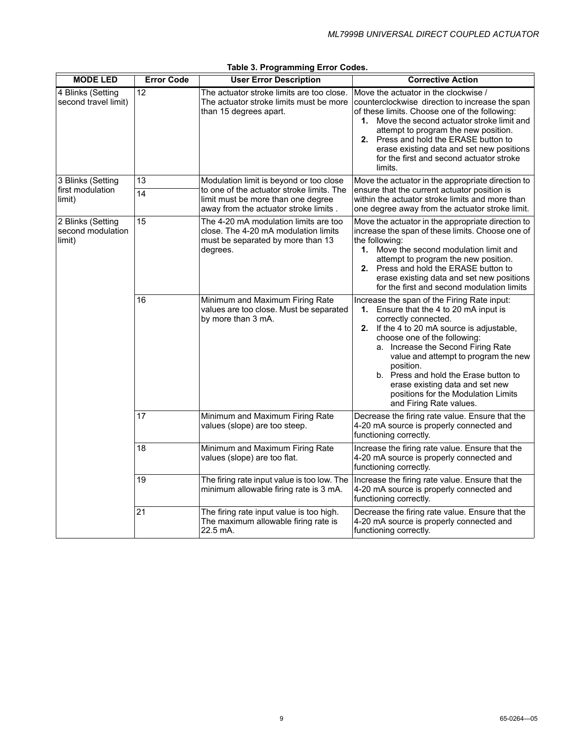<span id="page-8-0"></span>

| <b>MODE LED</b>                                  | <b>Error Code</b> | <b>User Error Description</b>                                                                                                  | <b>Corrective Action</b>                                                                                                                                                                                                                                                                                                                                                                                                             |
|--------------------------------------------------|-------------------|--------------------------------------------------------------------------------------------------------------------------------|--------------------------------------------------------------------------------------------------------------------------------------------------------------------------------------------------------------------------------------------------------------------------------------------------------------------------------------------------------------------------------------------------------------------------------------|
| 4 Blinks (Setting<br>second travel limit)        | 12                | The actuator stroke limits are too close.<br>The actuator stroke limits must be more<br>than 15 degrees apart.                 | Move the actuator in the clockwise /<br>counterclockwise direction to increase the span<br>of these limits. Choose one of the following:<br><b>1.</b> Move the second actuator stroke limit and<br>attempt to program the new position.<br>2. Press and hold the ERASE button to<br>erase existing data and set new positions<br>for the first and second actuator stroke<br>limits.                                                 |
| 3 Blinks (Setting                                | 13                | Modulation limit is beyond or too close<br>to one of the actuator stroke limits. The                                           | Move the actuator in the appropriate direction to                                                                                                                                                                                                                                                                                                                                                                                    |
| first modulation<br>limit)                       | 14                | limit must be more than one degree<br>away from the actuator stroke limits.                                                    | ensure that the current actuator position is<br>within the actuator stroke limits and more than<br>one degree away from the actuator stroke limit.                                                                                                                                                                                                                                                                                   |
| 2 Blinks (Setting<br>second modulation<br>limit) | 15                | The 4-20 mA modulation limits are too<br>close. The 4-20 mA modulation limits<br>must be separated by more than 13<br>degrees. | Move the actuator in the appropriate direction to<br>increase the span of these limits. Choose one of<br>the following:<br>1. Move the second modulation limit and<br>attempt to program the new position.<br>2. Press and hold the ERASE button to<br>erase existing data and set new positions<br>for the first and second modulation limits                                                                                       |
|                                                  | 16                | Minimum and Maximum Firing Rate<br>values are too close. Must be separated<br>by more than 3 mA.                               | Increase the span of the Firing Rate input:<br>1. Ensure that the 4 to 20 mA input is<br>correctly connected.<br>2. If the 4 to 20 mA source is adjustable,<br>choose one of the following:<br>a. Increase the Second Firing Rate<br>value and attempt to program the new<br>position.<br>b. Press and hold the Erase button to<br>erase existing data and set new<br>positions for the Modulation Limits<br>and Firing Rate values. |
|                                                  | 17                | Minimum and Maximum Firing Rate<br>values (slope) are too steep.                                                               | Decrease the firing rate value. Ensure that the<br>4-20 mA source is properly connected and<br>functioning correctly.                                                                                                                                                                                                                                                                                                                |
|                                                  | 18                | Minimum and Maximum Firing Rate<br>values (slope) are too flat.                                                                | Increase the firing rate value. Ensure that the<br>4-20 mA source is properly connected and<br>functioning correctly.                                                                                                                                                                                                                                                                                                                |
|                                                  | 19                | The firing rate input value is too low. The<br>minimum allowable firing rate is 3 mA.                                          | Increase the firing rate value. Ensure that the<br>4-20 mA source is properly connected and<br>functioning correctly.                                                                                                                                                                                                                                                                                                                |
|                                                  | 21                | The firing rate input value is too high.<br>The maximum allowable firing rate is<br>22.5 mA.                                   | Decrease the firing rate value. Ensure that the<br>4-20 mA source is properly connected and<br>functioning correctly.                                                                                                                                                                                                                                                                                                                |

## **Table 3. Programming Error Codes.**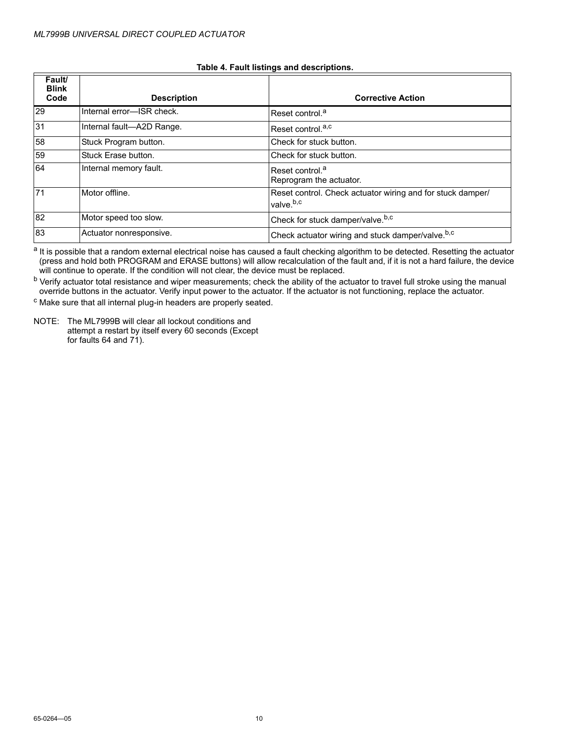<span id="page-9-0"></span>

| Fault/<br><b>Blink</b><br>Code | <b>Description</b>        | <b>Corrective Action</b>                                                            |
|--------------------------------|---------------------------|-------------------------------------------------------------------------------------|
| 29                             | Internal error-ISR check. | Reset control. <sup>a</sup>                                                         |
| 31                             | Internal fault-A2D Range. | Reset control. <sup>a,c</sup>                                                       |
| 58                             | Stuck Program button.     | Check for stuck button.                                                             |
| 59                             | Stuck Erase button.       | Check for stuck button.                                                             |
| 64                             | Internal memory fault.    | Reset control. <sup>a</sup><br>Reprogram the actuator.                              |
| $\overline{71}$                | Motor offline.            | Reset control. Check actuator wiring and for stuck damper/<br>valve. <sup>b,c</sup> |
| 82                             | Motor speed too slow.     | Check for stuck damper/valve.b,c                                                    |
| 83                             | Actuator nonresponsive.   | Check actuator wiring and stuck damper/valve. <sup>b,c</sup>                        |

#### **Table 4. Fault listings and descriptions.**

<sup>a</sup> It is possible that a random external electrical noise has caused a fault checking algorithm to be detected. Resetting the actuator (press and hold both PROGRAM and ERASE buttons) will allow recalculation of the fault and, if it is not a hard failure, the device will continue to operate. If the condition will not clear, the device must be replaced.

b Verify actuator total resistance and wiper measurements; check the ability of the actuator to travel full stroke using the manual override buttons in the actuator. Verify input power to the actuator. If the actuator is not functioning, replace the actuator.

c Make sure that all internal plug-in headers are properly seated.

NOTE: The ML7999B will clear all lockout conditions and attempt a restart by itself every 60 seconds (Except for faults 64 and 71).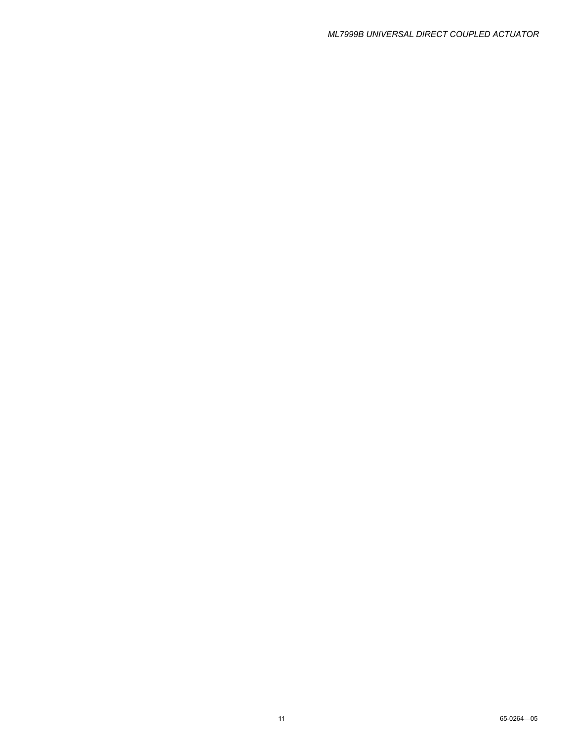*ML7999B UNIVERSAL DIRECT COUPLED ACTUATOR*